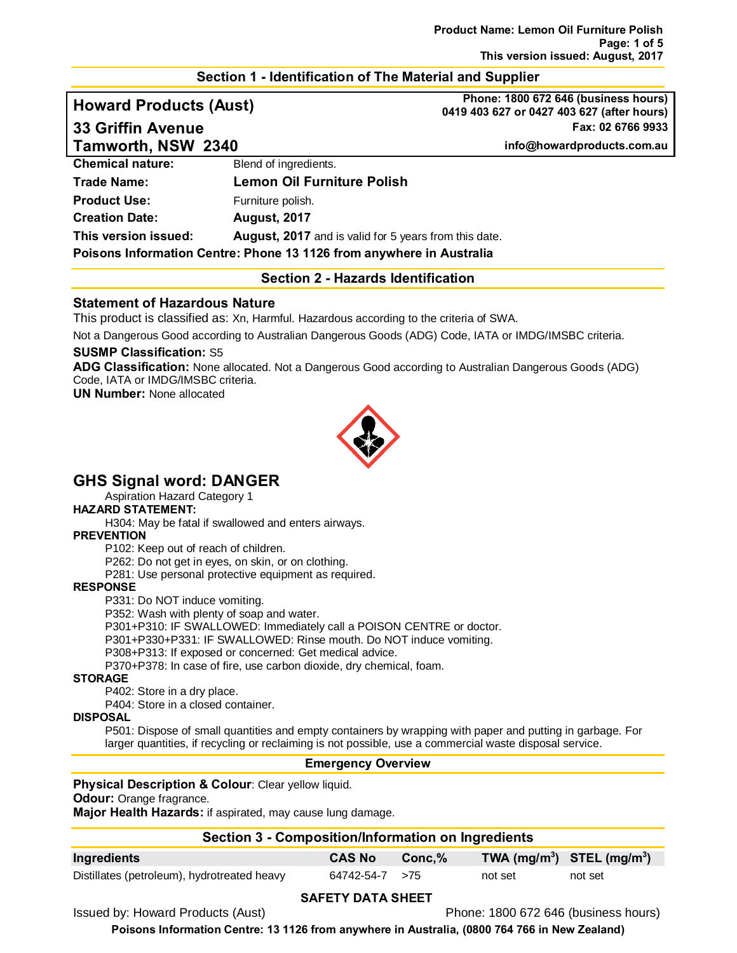#### **Section 1 - Identification of The Material and Supplier**

**Tamworth, NSW 2340 info@howardproducts.com.au**

**Howard Products (Aust) Phone: 1800 672 646 (business hours) 0419 403 627 or 0427 403 627 (after hours) 33 Griffin Avenue Fax: 02 6766 9933**

| <b>Chemical nature:</b>                                              | Blend of ingredients.                                        |
|----------------------------------------------------------------------|--------------------------------------------------------------|
| <b>Trade Name:</b>                                                   | <b>Lemon Oil Furniture Polish</b>                            |
| <b>Product Use:</b>                                                  | Furniture polish.                                            |
| <b>Creation Date:</b>                                                | <b>August, 2017</b>                                          |
| This version issued:                                                 | <b>August, 2017</b> and is valid for 5 years from this date. |
| Poisons Information Centre: Phone 13 1126 from anywhere in Australia |                                                              |

#### **Section 2 - Hazards Identification**

#### **Statement of Hazardous Nature**

This product is classified as: Xn, Harmful. Hazardous according to the criteria of SWA.

Not a Dangerous Good according to Australian Dangerous Goods (ADG) Code, IATA or IMDG/IMSBC criteria.

#### **SUSMP Classification:** S5

**ADG Classification:** None allocated. Not a Dangerous Good according to Australian Dangerous Goods (ADG) Code, IATA or IMDG/IMSBC criteria.

**UN Number:** None allocated



# **GHS Signal word: DANGER**

Aspiration Hazard Category 1

# **HAZARD STATEMENT:**

H304: May be fatal if swallowed and enters airways.

#### **PREVENTION**

P102: Keep out of reach of children.

P262: Do not get in eyes, on skin, or on clothing.

P281: Use personal protective equipment as required.

#### **RESPONSE**

P331: Do NOT induce vomiting.

P352: Wash with plenty of soap and water.

P301+P310: IF SWALLOWED: Immediately call a POISON CENTRE or doctor.

P301+P330+P331: IF SWALLOWED: Rinse mouth. Do NOT induce vomiting.

P308+P313: If exposed or concerned: Get medical advice.

P370+P378: In case of fire, use carbon dioxide, dry chemical, foam.

#### **STORAGE**

P402: Store in a dry place.

P404: Store in a closed container.

#### **DISPOSAL**

P501: Dispose of small quantities and empty containers by wrapping with paper and putting in garbage. For larger quantities, if recycling or reclaiming is not possible, use a commercial waste disposal service.

#### **Emergency Overview**

#### **Physical Description & Colour: Clear yellow liquid.**

**Odour:** Orange fragrance.

**Major Health Hazards:** if aspirated, may cause lung damage.

#### **Section 3 - Composition/Information on Ingredients**

| Ingredients                                 | <b>CAS No</b>  | $\sim$ Conc,% $\sim$ | TWA $(mg/m^3)$ STEL $(mg/m^3)$ |         |
|---------------------------------------------|----------------|----------------------|--------------------------------|---------|
| Distillates (petroleum), hydrotreated heavy | 64742-54-7 >75 |                      | not set                        | not set |

#### **SAFETY DATA SHEET**

Issued by: Howard Products (Aust) Phone: 1800 672 646 (business hours)

**Poisons Information Centre: 13 1126 from anywhere in Australia, (0800 764 766 in New Zealand)**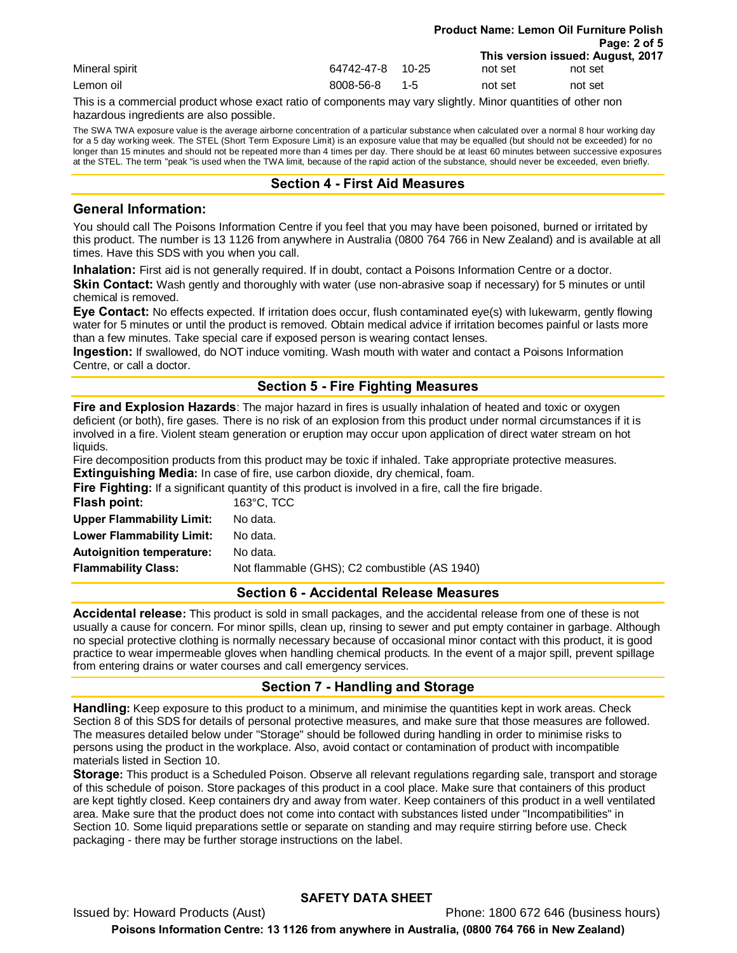|                |                  |      | <b>Product Name: Lemon Oil Furniture Polish</b> |                                   |  |
|----------------|------------------|------|-------------------------------------------------|-----------------------------------|--|
|                |                  |      |                                                 | Page: 2 of 5                      |  |
|                |                  |      |                                                 | This version issued: August, 2017 |  |
| Mineral spirit | 64742-47-8 10-25 |      | not set                                         | not set                           |  |
| Lemon oil      | 8008-56-8        | -1-5 | not set                                         | not set                           |  |

This is a commercial product whose exact ratio of components may vary slightly. Minor quantities of other non hazardous ingredients are also possible.

The SWA TWA exposure value is the average airborne concentration of a particular substance when calculated over a normal 8 hour working day for a 5 day working week. The STEL (Short Term Exposure Limit) is an exposure value that may be equalled (but should not be exceeded) for no longer than 15 minutes and should not be repeated more than 4 times per day. There should be at least 60 minutes between successive exposures at the STEL. The term "peak "is used when the TWA limit, because of the rapid action of the substance, should never be exceeded, even briefly.

#### **Section 4 - First Aid Measures**

#### **General Information:**

You should call The Poisons Information Centre if you feel that you may have been poisoned, burned or irritated by this product. The number is 13 1126 from anywhere in Australia (0800 764 766 in New Zealand) and is available at all times. Have this SDS with you when you call.

**Inhalation:** First aid is not generally required. If in doubt, contact a Poisons Information Centre or a doctor. **Skin Contact:** Wash gently and thoroughly with water (use non-abrasive soap if necessary) for 5 minutes or until chemical is removed.

**Eye Contact:** No effects expected. If irritation does occur, flush contaminated eye(s) with lukewarm, gently flowing water for 5 minutes or until the product is removed. Obtain medical advice if irritation becomes painful or lasts more than a few minutes. Take special care if exposed person is wearing contact lenses.

**Ingestion:** If swallowed, do NOT induce vomiting. Wash mouth with water and contact a Poisons Information Centre, or call a doctor.

## **Section 5 - Fire Fighting Measures**

**Fire and Explosion Hazards**: The major hazard in fires is usually inhalation of heated and toxic or oxygen deficient (or both), fire gases. There is no risk of an explosion from this product under normal circumstances if it is involved in a fire. Violent steam generation or eruption may occur upon application of direct water stream on hot liquids.

Fire decomposition products from this product may be toxic if inhaled. Take appropriate protective measures. **Extinguishing Media:** In case of fire, use carbon dioxide, dry chemical, foam.

**Fire Fighting:** If a significant quantity of this product is involved in a fire, call the fire brigade.

| Flash point:                     | $163^{\circ}$ C. TCC                          |
|----------------------------------|-----------------------------------------------|
| <b>Upper Flammability Limit:</b> | No data.                                      |
| Lower Flammability Limit:        | No data.                                      |
| <b>Autoignition temperature:</b> | No data.                                      |
| <b>Flammability Class:</b>       | Not flammable (GHS); C2 combustible (AS 1940) |
|                                  |                                               |

#### **Section 6 - Accidental Release Measures**

**Accidental release:** This product is sold in small packages, and the accidental release from one of these is not usually a cause for concern. For minor spills, clean up, rinsing to sewer and put empty container in garbage. Although no special protective clothing is normally necessary because of occasional minor contact with this product, it is good practice to wear impermeable gloves when handling chemical products. In the event of a major spill, prevent spillage from entering drains or water courses and call emergency services.

#### **Section 7 - Handling and Storage**

**Handling:** Keep exposure to this product to a minimum, and minimise the quantities kept in work areas. Check Section 8 of this SDS for details of personal protective measures, and make sure that those measures are followed. The measures detailed below under "Storage" should be followed during handling in order to minimise risks to persons using the product in the workplace. Also, avoid contact or contamination of product with incompatible materials listed in Section 10.

**Storage:** This product is a Scheduled Poison. Observe all relevant regulations regarding sale, transport and storage of this schedule of poison. Store packages of this product in a cool place. Make sure that containers of this product are kept tightly closed. Keep containers dry and away from water. Keep containers of this product in a well ventilated area. Make sure that the product does not come into contact with substances listed under "Incompatibilities" in Section 10. Some liquid preparations settle or separate on standing and may require stirring before use. Check packaging - there may be further storage instructions on the label.

#### **SAFETY DATA SHEET**

Issued by: Howard Products (Aust) Phone: 1800 672 646 (business hours) **Poisons Information Centre: 13 1126 from anywhere in Australia, (0800 764 766 in New Zealand)**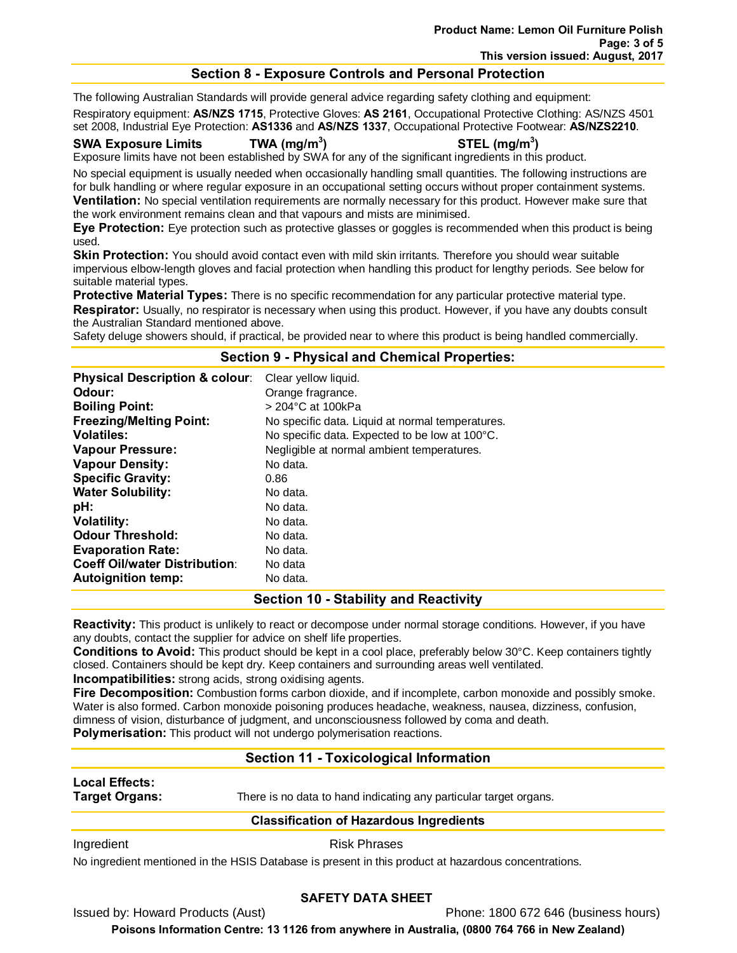#### **Section 8 - Exposure Controls and Personal Protection**

The following Australian Standards will provide general advice regarding safety clothing and equipment:

Respiratory equipment: **AS/NZS 1715**, Protective Gloves: **AS 2161**, Occupational Protective Clothing: AS/NZS 4501 set 2008, Industrial Eye Protection: **AS1336** and **AS/NZS 1337**, Occupational Protective Footwear: **AS/NZS2210**.

#### **SWA Exposure Limits TWA (mg/m3**

#### **) STEL (mg/m3 )**

Exposure limits have not been established by SWA for any of the significant ingredients in this product.

No special equipment is usually needed when occasionally handling small quantities. The following instructions are for bulk handling or where regular exposure in an occupational setting occurs without proper containment systems. **Ventilation:** No special ventilation requirements are normally necessary for this product. However make sure that the work environment remains clean and that vapours and mists are minimised.

**Eye Protection:** Eye protection such as protective glasses or goggles is recommended when this product is being used.

**Skin Protection:** You should avoid contact even with mild skin irritants. Therefore you should wear suitable impervious elbow-length gloves and facial protection when handling this product for lengthy periods. See below for suitable material types.

**Protective Material Types:** There is no specific recommendation for any particular protective material type. **Respirator:** Usually, no respirator is necessary when using this product. However, if you have any doubts consult the Australian Standard mentioned above.

Safety deluge showers should, if practical, be provided near to where this product is being handled commercially.

#### **Section 9 - Physical and Chemical Properties:**

| <b>Physical Description &amp; colour:</b><br>Odour:<br><b>Boiling Point:</b> | Clear yellow liquid.<br>Orange fragrance.<br>$>$ 204 $^{\circ}$ C at 100kPa |
|------------------------------------------------------------------------------|-----------------------------------------------------------------------------|
| <b>Freezing/Melting Point:</b>                                               | No specific data. Liquid at normal temperatures.                            |
| <b>Volatiles:</b>                                                            | No specific data. Expected to be low at 100°C.                              |
| <b>Vapour Pressure:</b>                                                      | Negligible at normal ambient temperatures.                                  |
| <b>Vapour Density:</b>                                                       | No data.                                                                    |
| <b>Specific Gravity:</b>                                                     | 0.86                                                                        |
| <b>Water Solubility:</b>                                                     | No data.                                                                    |
| pH:                                                                          | No data.                                                                    |
| <b>Volatility:</b>                                                           | No data.                                                                    |
| <b>Odour Threshold:</b>                                                      | No data.                                                                    |
| <b>Evaporation Rate:</b>                                                     | No data.                                                                    |
| <b>Coeff Oil/water Distribution:</b>                                         | No data                                                                     |
| <b>Autoignition temp:</b>                                                    | No data.                                                                    |

#### **Section 10 - Stability and Reactivity**

**Reactivity:** This product is unlikely to react or decompose under normal storage conditions. However, if you have any doubts, contact the supplier for advice on shelf life properties.

**Conditions to Avoid:** This product should be kept in a cool place, preferably below 30°C. Keep containers tightly closed. Containers should be kept dry. Keep containers and surrounding areas well ventilated.

**Incompatibilities:** strong acids, strong oxidising agents.

**Fire Decomposition:** Combustion forms carbon dioxide, and if incomplete, carbon monoxide and possibly smoke. Water is also formed. Carbon monoxide poisoning produces headache, weakness, nausea, dizziness, confusion, dimness of vision, disturbance of judgment, and unconsciousness followed by coma and death. **Polymerisation:** This product will not undergo polymerisation reactions.

# **Section 11 - Toxicological Information**

# **Local Effects:**

**Target Organs:** There is no data to hand indicating any particular target organs.

#### **Classification of Hazardous Ingredients**

Ingredient **Risk Phrases** 

No ingredient mentioned in the HSIS Database is present in this product at hazardous concentrations.

#### **SAFETY DATA SHEET**

Issued by: Howard Products (Aust) Phone: 1800 672 646 (business hours)

**Poisons Information Centre: 13 1126 from anywhere in Australia, (0800 764 766 in New Zealand)**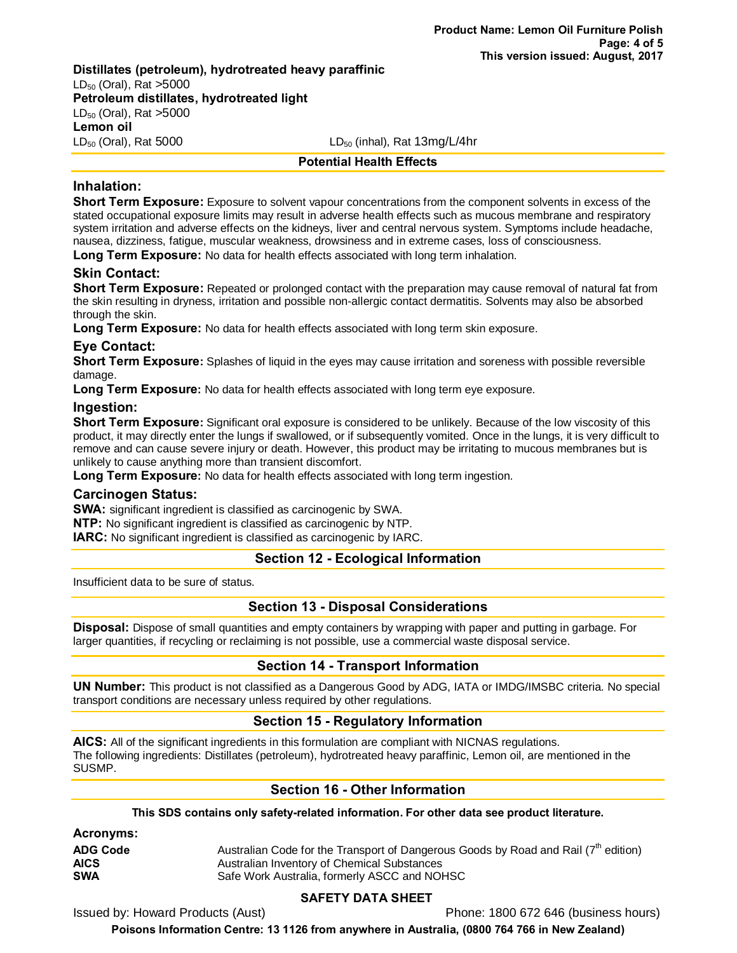#### **Distillates (petroleum), hydrotreated heavy paraffinic**  $LD_{50}$  (Oral), Rat >5000 **Petroleum distillates, hydrotreated light**  $LD_{50}$  (Oral), Rat  $>5000$

**Lemon oil**

 $LD_{50}$  (Oral), Rat 5000 LD<sub>50</sub> (inhal), Rat 13mg/L/4hr

#### **Potential Health Effects**

### **Inhalation:**

**Short Term Exposure:** Exposure to solvent vapour concentrations from the component solvents in excess of the stated occupational exposure limits may result in adverse health effects such as mucous membrane and respiratory system irritation and adverse effects on the kidneys, liver and central nervous system. Symptoms include headache, nausea, dizziness, fatigue, muscular weakness, drowsiness and in extreme cases, loss of consciousness.

**Long Term Exposure:** No data for health effects associated with long term inhalation.

### **Skin Contact:**

**Short Term Exposure:** Repeated or prolonged contact with the preparation may cause removal of natural fat from the skin resulting in dryness, irritation and possible non-allergic contact dermatitis. Solvents may also be absorbed through the skin.

**Long Term Exposure:** No data for health effects associated with long term skin exposure.

### **Eye Contact:**

**Short Term Exposure:** Splashes of liquid in the eyes may cause irritation and soreness with possible reversible damage.

**Long Term Exposure:** No data for health effects associated with long term eye exposure.

#### **Ingestion:**

**Short Term Exposure:** Significant oral exposure is considered to be unlikely. Because of the low viscosity of this product, it may directly enter the lungs if swallowed, or if subsequently vomited. Once in the lungs, it is very difficult to remove and can cause severe injury or death. However, this product may be irritating to mucous membranes but is unlikely to cause anything more than transient discomfort.

**Long Term Exposure:** No data for health effects associated with long term ingestion.

#### **Carcinogen Status:**

**SWA:** significant ingredient is classified as carcinogenic by SWA.

**NTP:** No significant ingredient is classified as carcinogenic by NTP.

**IARC:** No significant ingredient is classified as carcinogenic by IARC.

# **Section 12 - Ecological Information**

Insufficient data to be sure of status.

#### **Section 13 - Disposal Considerations**

**Disposal:** Dispose of small quantities and empty containers by wrapping with paper and putting in garbage. For larger quantities, if recycling or reclaiming is not possible, use a commercial waste disposal service.

#### **Section 14 - Transport Information**

**UN Number:** This product is not classified as a Dangerous Good by ADG, IATA or IMDG/IMSBC criteria. No special transport conditions are necessary unless required by other regulations.

# **Section 15 - Regulatory Information**

**AICS:** All of the significant ingredients in this formulation are compliant with NICNAS regulations. The following ingredients: Distillates (petroleum), hydrotreated heavy paraffinic, Lemon oil, are mentioned in the SUSMP.

# **Section 16 - Other Information**

**This SDS contains only safety-related information. For other data see product literature.**

| Australian Code for the Transport of Dangerous Goods by Road and Rail (7 <sup>th</sup> edition) |
|-------------------------------------------------------------------------------------------------|
| Australian Inventory of Chemical Substances                                                     |
| Safe Work Australia, formerly ASCC and NOHSC                                                    |
|                                                                                                 |

#### **SAFETY DATA SHEET**

Issued by: Howard Products (Aust) **Phone: 1800 672 646 (business hours)** Phone: 1800 672 646 (business hours)

**Poisons Information Centre: 13 1126 from anywhere in Australia, (0800 764 766 in New Zealand)**